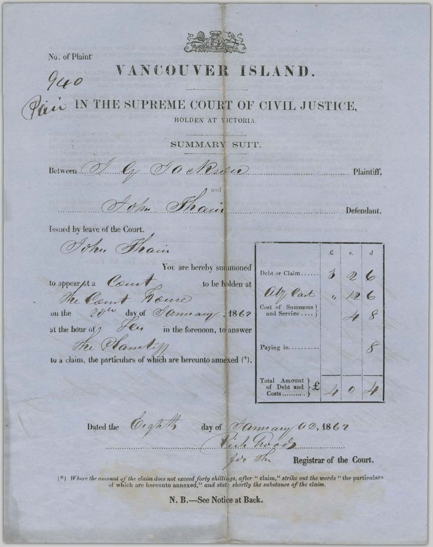

No. of Plaint

## VANCOUVER ISLAND.

940

THE SUPREME COURT OF CIVIL JUSTICE,

**HOLDEN AT VICTORIA** 

SUMMARY SUIT.

Between

a Rueo

Issued by leave of the Court.

John Strain

to appear /st a Court

You are hereby summoned to be holden at

The Count House 20th day of Jannary, 1862

on the

at the hour of  $\mathscr{I}$ e. in the forenoon, to answer

the Plantin

to a claim, the particulars of which are hereunto annexed (\*).

O.ghtly

With Cart  $\overline{6}$ Cost of Summons 8 and Service ... 8 Paying in... Total Amount  $\mathbf f$  $Costs$ ..........

Registrar of the Court.

Debt or Claim.....

Plaintiff.

 $\overline{d}$ 

6

Defendant.

£

Dated the

day of *Oamary* **a**2, 1867 Rich

(\*) Where the amount of the claim does not exceed forty shillings, after "claim," strike out the words "the particulars of which are hereunto annexed," and state shortly the substance of the claim.

N. B.-See Notice at Back.